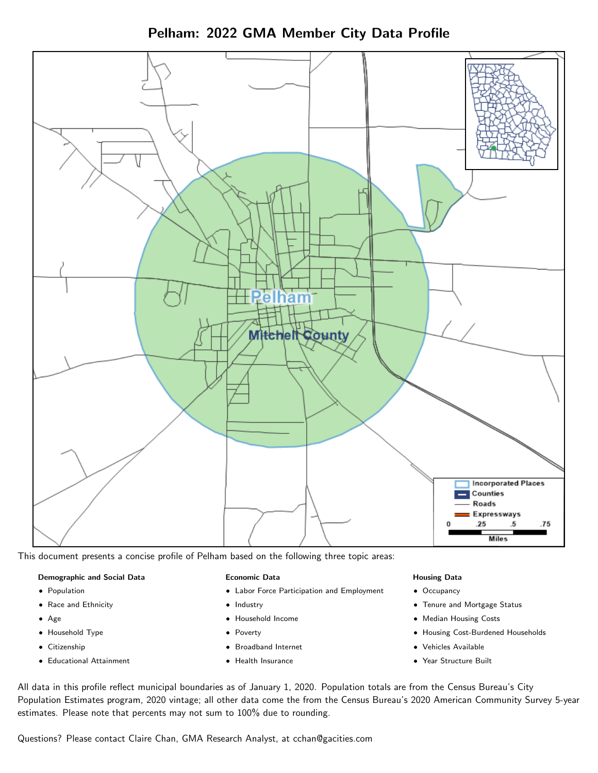Pelham: 2022 GMA Member City Data Profile



This document presents a concise profile of Pelham based on the following three topic areas:

#### Demographic and Social Data

- **•** Population
- Race and Ethnicity
- Age
- Household Type
- **Citizenship**
- Educational Attainment

#### Economic Data

- Labor Force Participation and Employment
- Industry
- Household Income
- Poverty
- Broadband Internet
- Health Insurance

#### Housing Data

- Occupancy
- Tenure and Mortgage Status
- Median Housing Costs
- Housing Cost-Burdened Households
- Vehicles Available
- Year Structure Built

All data in this profile reflect municipal boundaries as of January 1, 2020. Population totals are from the Census Bureau's City Population Estimates program, 2020 vintage; all other data come the from the Census Bureau's 2020 American Community Survey 5-year estimates. Please note that percents may not sum to 100% due to rounding.

Questions? Please contact Claire Chan, GMA Research Analyst, at [cchan@gacities.com.](mailto:cchan@gacities.com)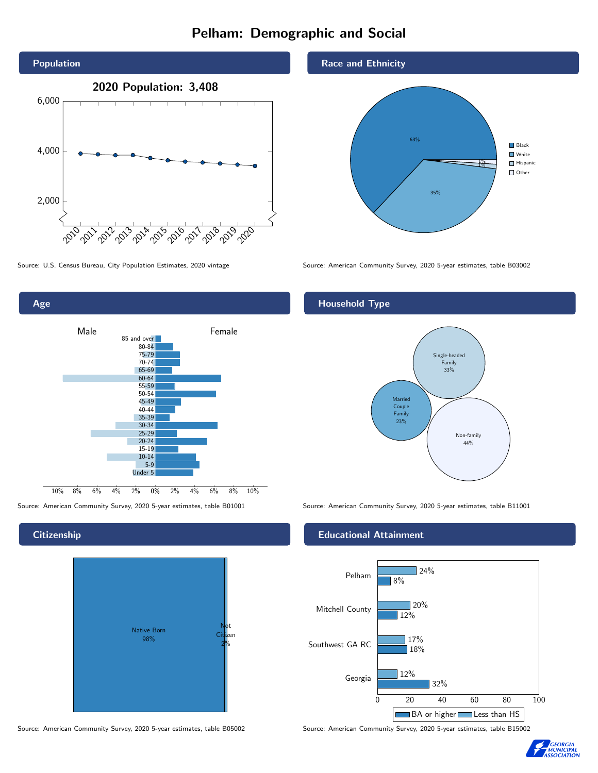# Pelham: Demographic and Social



0% 2% 4% 6% 8% 10% Male **Female** 10% 8% 6% 4% 2% 85 and over 80-84 75-79 70-74 65-69 60-64 55-59 50-54 45-49 40-44 35-39 30-34 25-29 20-24 15-19 10-14 5-9 Under 5

**Citizenship** 

Age



Source: American Community Survey, 2020 5-year estimates, table B05002 Source: American Community Survey, 2020 5-year estimates, table B15002

Race and Ethnicity



Source: U.S. Census Bureau, City Population Estimates, 2020 vintage Source: American Community Survey, 2020 5-year estimates, table B03002

## Household Type



Source: American Community Survey, 2020 5-year estimates, table B01001 Source: American Community Survey, 2020 5-year estimates, table B11001

#### Educational Attainment



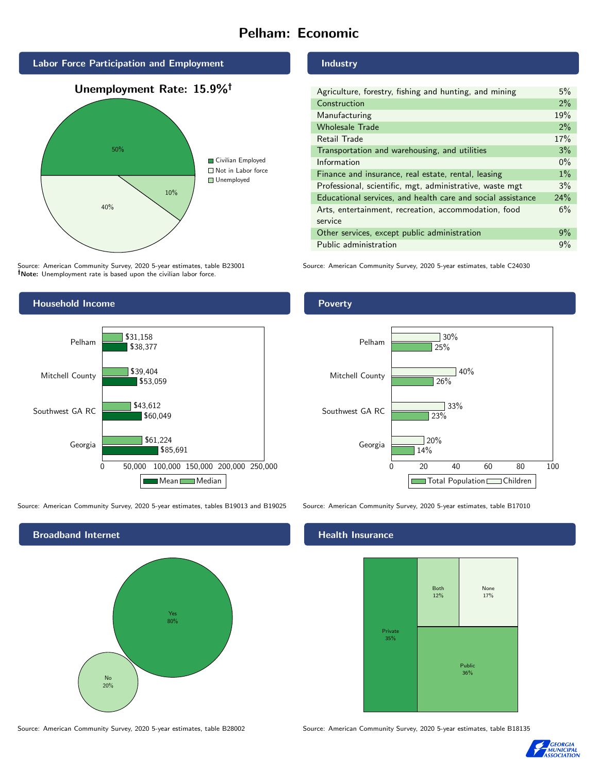# Pelham: Economic



Source: American Community Survey, 2020 5-year estimates, table B23001 Note: Unemployment rate is based upon the civilian labor force.

### Industry

| Agriculture, forestry, fishing and hunting, and mining      | 5%    |
|-------------------------------------------------------------|-------|
| Construction                                                | 2%    |
| Manufacturing                                               | 19%   |
| <b>Wholesale Trade</b>                                      | 2%    |
| Retail Trade                                                | 17%   |
| Transportation and warehousing, and utilities               | 3%    |
| Information                                                 | $0\%$ |
| Finance and insurance, real estate, rental, leasing         | 1%    |
| Professional, scientific, mgt, administrative, waste mgt    | 3%    |
| Educational services, and health care and social assistance | 24%   |
| Arts, entertainment, recreation, accommodation, food        | 6%    |
| service                                                     |       |
| Other services, except public administration                | 9%    |
| Public administration                                       | 9%    |

Source: American Community Survey, 2020 5-year estimates, table C24030



Source: American Community Survey, 2020 5-year estimates, tables B19013 and B19025 Source: American Community Survey, 2020 5-year estimates, table B17010



#### Poverty



#### Health Insurance



Source: American Community Survey, 2020 5-year estimates, table B28002 Source: American Community Survey, 2020 5-year estimates, table B18135